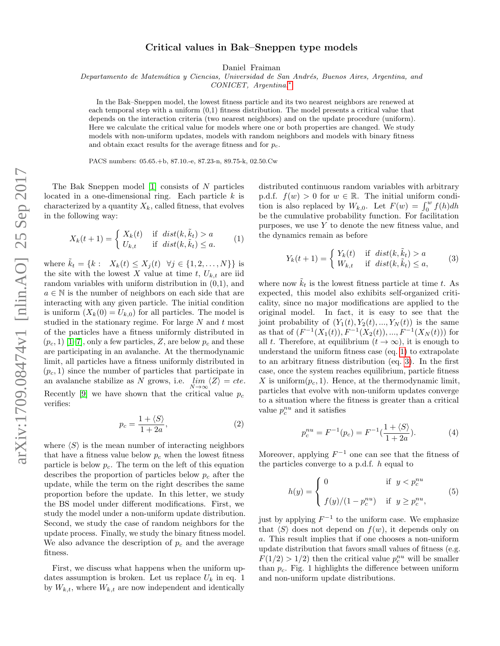## Critical values in Bak–Sneppen type models

Daniel Fraiman

Departamento de Matemática y Ciencias, Universidad de San Andrés, Buenos Aires, Argentina, and

CONICET, Argentina.[∗](#page-4-0)

In the Bak–Sneppen model, the lowest fitness particle and its two nearest neighbors are renewed at each temporal step with a uniform (0,1) fitness distribution. The model presents a critical value that depends on the interaction criteria (two nearest neighbors) and on the update procedure (uniform). Here we calculate the critical value for models where one or both properties are changed. We study models with non-uniform updates, models with random neighbors and models with binary fitness and obtain exact results for the average fitness and for  $p_c$ .

PACS numbers: 05.65.+b, 87.10.-e, 87.23-n, 89.75-k, 02.50.Cw

The Bak Sneppen model [\[1\]](#page-4-1) consists of N particles located in a one-dimensional ring. Each particle  $k$  is characterized by a quantity  $X_k$ , called fitness, that evolves in the following way:

<span id="page-0-0"></span>
$$
X_k(t+1) = \begin{cases} X_k(t) & \text{if } dist(k, \tilde{k}_t) > a \\ U_{k,t} & \text{if } dist(k, \tilde{k}_t) \le a. \end{cases}
$$
 (1)

where  $k_t = \{k : X_k(t) \le X_j(t) \ \forall j \in \{1, 2, ..., N\}\}\$ is the site with the lowest X value at time t,  $U_{k,t}$  are iid random variables with uniform distribution in (0,1), and  $a \in \mathbb{N}$  is the number of neighbors on each side that are interacting with any given particle. The initial condition is uniform  $(X_k(0) = U_{k,0})$  for all particles. The model is studied in the stationary regime. For large  $N$  and  $t$  most of the particles have a fitness uniformly distributed in  $(p_c, 1)$  [\[1–](#page-4-1)[7\]](#page-4-2), only a few particles, Z, are below  $p_c$  and these are participating in an avalanche. At the thermodynamic limit, all particles have a fitness uniformly distributed in  $(p_c, 1)$  since the number of particles that participate in an avalanche stabilize as N grows, i.e.  $\lim_{N \to \infty} \langle Z \rangle = cte$ . Recently [\[9\]](#page-4-3) we have shown that the critical value  $p_c$ verifies:

<span id="page-0-2"></span>
$$
p_c = \frac{1 + \langle S \rangle}{1 + 2a},\tag{2}
$$

where  $\langle S \rangle$  is the mean number of interacting neighbors that have a fitness value below  $p_c$  when the lowest fitness particle is below  $p_c$ . The term on the left of this equation describes the proportion of particles below  $p_c$  after the update, while the term on the right describes the same proportion before the update. In this letter, we study the BS model under different modifications. First, we study the model under a non-uniform update distribution. Second, we study the case of random neighbors for the update process. Finally, we study the binary fitness model. We also advance the description of  $p_c$  and the average fitness.

First, we discuss what happens when the uniform updates assumption is broken. Let us replace  $U_k$  in eq. 1 by  $W_{k,t}$ , where  $W_{k,t}$  are now independent and identically

distributed continuous random variables with arbitrary p.d.f.  $f(w) > 0$  for  $w \in \mathbb{R}$ . The initial uniform condition is also replaced by  $W_{k,0}$ . Let  $F(w) = \int_0^w f(h) dh$ be the cumulative probability function. For facilitation purposes, we use  $Y$  to denote the new fitness value, and the dynamics remain as before

<span id="page-0-1"></span>
$$
Y_k(t+1) = \begin{cases} Y_k(t) & \text{if } dist(k, \tilde{k}_t) > a \\ W_{k,t} & \text{if } dist(k, \tilde{k}_t) \le a, \end{cases}
$$
 (3)

where now  $\tilde{k}_t$  is the lowest fitness particle at time t. As expected, this model also exhibits self-organized criticality, since no major modifications are applied to the original model. In fact, it is easy to see that the joint probability of  $(Y_1(t), Y_2(t), ..., Y_N(t))$  is the same as that of  $(F^{-1}(X_1(t)), F^{-1}(X_2(t)), ..., F^{-1}(X_N(t)))$  for all t. Therefore, at equilibrium  $(t \to \infty)$ , it is enough to understand the uniform fitness case (eq. [1\)](#page-0-0) to extrapolate to an arbitrary fitness distribution (eq. [3\)](#page-0-1). In the first case, once the system reaches equilibrium, particle fitness X is uniform $(p_c, 1)$ . Hence, at the thermodynamic limit, particles that evolve with non-uniform updates converge to a situation where the fitness is greater than a critical value  $p_c^{nu}$  and it satisfies

$$
p_c^{nu} = F^{-1}(p_c) = F^{-1}(\frac{1 + \langle S \rangle}{1 + 2a}).
$$
 (4)

Moreover, applying  $F^{-1}$  one can see that the fitness of the particles converge to a p.d.f. h equal to

$$
h(y) = \begin{cases} 0 & \text{if } y < p_c^{nu} \\ f(y)/(1 - p_c^{nu}) & \text{if } y \ge p_c^{nu}, \end{cases} \tag{5}
$$

just by applying  $F^{-1}$  to the uniform case. We emphasize that  $\langle S \rangle$  does not depend on  $f(w)$ , it depends only on a. This result implies that if one chooses a non-uniform update distribution that favors small values of fitness (e.g.  $F(1/2) > 1/2$ ) then the critical value  $p_c^{nu}$  will be smaller than  $p_c$ . Fig. 1 highlights the difference between uniform and non-uniform update distributions.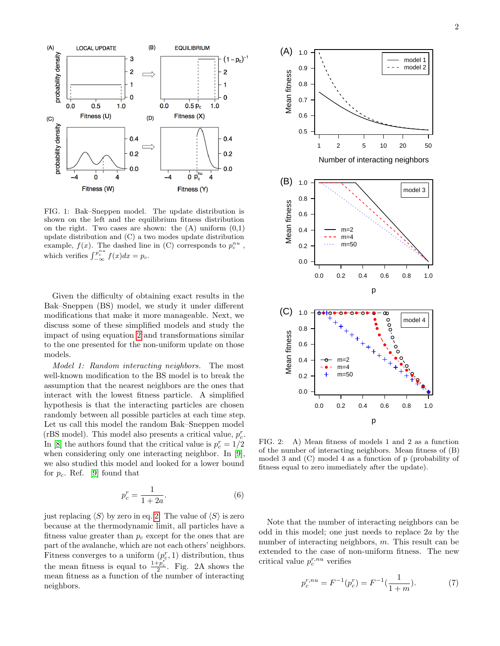

FIG. 1: Bak–Sneppen model. The update distribution is shown on the left and the equilibrium fitness distribution on the right. Two cases are shown: the  $(A)$  uniform  $(0,1)$ update distribution and (C) a two modes update distribution example,  $f(x)$ . The dashed line in (C) corresponds to  $p_c^{nu}$ , which verifies  $\int_{-\infty}^{p_c^{nu}} f(x) dx = p_c$ .

Given the difficulty of obtaining exact results in the Bak–Sneppen (BS) model, we study it under different modifications that make it more manageable. Next, we discuss some of these simplified models and study the impact of using equation [2](#page-0-2) and transformations similar to the one presented for the non-uniform update on those models.

Model 1: Random interacting neighbors. The most well-known modification to the BS model is to break the assumption that the nearest neighbors are the ones that interact with the lowest fitness particle. A simplified hypothesis is that the interacting particles are chosen randomly between all possible particles at each time step. Let us call this model the random Bak–Sneppen model (rBS model). This model also presents a critical value,  $p_c^r$ . In [\[8\]](#page-4-4) the authors found that the critical value is  $p_c^r = 1/2$ when considering only one interacting neighbor. In [\[9\]](#page-4-3), we also studied this model and looked for a lower bound for  $p_c$ . Ref. [\[9\]](#page-4-3) found that

<span id="page-1-0"></span>
$$
p_c^r = \frac{1}{1+2a}.\tag{6}
$$

just replacing  $\langle S \rangle$  by zero in eq. [2.](#page-0-2) The value of  $\langle S \rangle$  is zero because at the thermodynamic limit, all particles have a fitness value greater than  $p_c$  except for the ones that are part of the avalanche, which are not each others' neighbors. Fitness converges to a uniform  $(p_c^r, 1)$  distribution, thus the mean fitness is equal to  $\frac{1+p_c^r}{2}$ . Fig. 2A shows the mean fitness as a function of the number of interacting neighbors.



FIG. 2: A) Mean fitness of models 1 and 2 as a function of the number of interacting neighbors. Mean fitness of (B) model 3 and (C) model 4 as a function of p (probability of fitness equal to zero immediately after the update).

Note that the number of interacting neighbors can be odd in this model; one just needs to replace 2a by the number of interacting neighbors, m. This result can be extended to the case of non-uniform fitness. The new critical value  $p_c^{r,nu}$  verifies

$$
p_c^{r, nu} = F^{-1}(p_c^r) = F^{-1}(\frac{1}{1+m}).
$$
\n(7)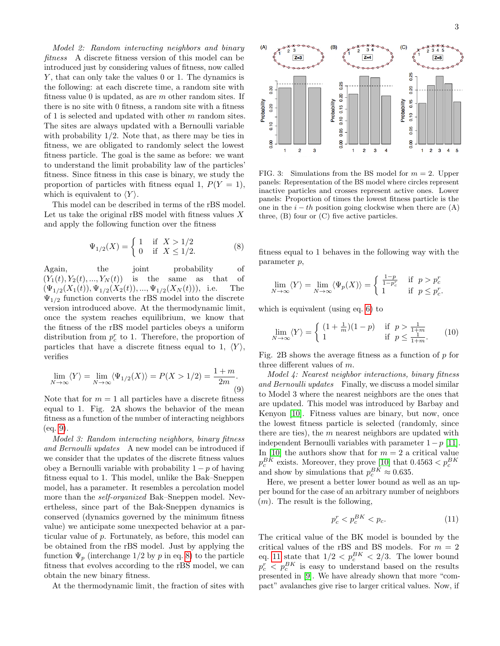Model 2: Random interacting neighbors and binary fitness A discrete fitness version of this model can be introduced just by considering values of fitness, now called Y, that can only take the values 0 or 1. The dynamics is the following: at each discrete time, a random site with fitness value 0 is updated, as are  $m$  other random sites. If there is no site with 0 fitness, a random site with a fitness of 1 is selected and updated with other  $m$  random sites. The sites are always updated with a Bernoulli variable with probability  $1/2$ . Note that, as there may be ties in fitness, we are obligated to randomly select the lowest fitness particle. The goal is the same as before: we want to understand the limit probability law of the particles' fitness. Since fitness in this case is binary, we study the proportion of particles with fitness equal 1,  $P(Y = 1)$ , which is equivalent to  $\langle Y \rangle$ .

This model can be described in terms of the rBS model. Let us take the original rBS model with fitness values  $X$ and apply the following function over the fitness

<span id="page-2-1"></span>
$$
\Psi_{1/2}(X) = \begin{cases} 1 & \text{if } X > 1/2 \\ 0 & \text{if } X \le 1/2. \end{cases}
$$
 (8)

Again, the joint probability of  $(Y_1(t), Y_2(t), ..., Y_N(t))$  is the same as that of  $(\Psi_{1/2}(X_1(t)), \Psi_{1/2}(X_2(t)), ..., \Psi_{1/2}(X_N(t))),$  i.e. The  $\Psi_{1/2}$  function converts the rBS model into the discrete version introduced above. At the thermodynamic limit, once the system reaches equilibrium, we know that the fitness of the rBS model particles obeys a uniform distribution from  $p_c^r$  to 1. Therefore, the proportion of particles that have a discrete fitness equal to 1,  $\langle Y \rangle$ , verifies

<span id="page-2-0"></span>
$$
\lim_{N \to \infty} \langle Y \rangle = \lim_{N \to \infty} \langle \Psi_{1/2}(X) \rangle = P(X > 1/2) = \frac{1+m}{2m}.
$$
\n(9)

Note that for  $m = 1$  all particles have a discrete fitness equal to 1. Fig. 2A shows the behavior of the mean fitness as a function of the number of interacting neighbors (eq. [9\)](#page-2-0).

Model 3: Random interacting neighbors, binary fitness and Bernoulli updates A new model can be introduced if we consider that the updates of the discrete fitness values obey a Bernoulli variable with probability  $1 - p$  of having fitness equal to 1. This model, unlike the Bak–Sneppen model, has a parameter. It resembles a percolation model more than the self-organized Bak–Sneppen model. Nevertheless, since part of the Bak-Sneppen dynamics is conserved (dynamics governed by the minimum fitness value) we anticipate some unexpected behavior at a particular value of p. Fortunately, as before, this model can be obtained from the rBS model. Just by applying the function  $\Psi_p$  (interchange 1/2 by p in eq. [8\)](#page-2-1) to the particle fitness that evolves according to the rBS model, we can obtain the new binary fitness.

At the thermodynamic limit, the fraction of sites with



FIG. 3: Simulations from the BS model for  $m = 2$ . Upper panels: Representation of the BS model where circles represent inactive particles and crosses represent active ones. Lower panels: Proportion of times the lowest fitness particle is the one in the  $i - th$  position going clockwise when there are  $(A)$ three, (B) four or (C) five active particles.

fitness equal to 1 behaves in the following way with the parameter p,

$$
\lim_{N \to \infty} \langle Y \rangle = \lim_{N \to \infty} \langle \Psi_p(X) \rangle = \begin{cases} \frac{1-p}{1-p_c^r} & \text{if } p > p_c^r \\ 1 & \text{if } p \le p_c^r. \end{cases}
$$

which is equivalent (using eq. [6\)](#page-1-0) to

$$
\lim_{N \to \infty} \langle Y \rangle = \begin{cases} (1 + \frac{1}{m})(1 - p) & \text{if } p > \frac{1}{1 + m} \\ 1 & \text{if } p \le \frac{1}{1 + m}. \end{cases} (10)
$$

Fig. 2B shows the average fitness as a function of p for three different values of m.

Model 4: Nearest neighbor interactions, binary fitness and Bernoulli updates Finally, we discuss a model similar to Model 3 where the nearest neighbors are the ones that are updated. This model was introduced by Barbay and Kenyon [\[10\]](#page-4-5). Fitness values are binary, but now, once the lowest fitness particle is selected (randomly, since there are ties), the  $m$  nearest neighbors are updated with independent Bernoulli variables with parameter  $1 - p$  [\[11\]](#page-4-6). In [\[10\]](#page-4-5) the authors show that for  $m = 2$  a critical value  $p_c^{BK}$  exists. Moreover, they prove [\[10\]](#page-4-5) that  $0.4563 < p_c^{BK}$ <br>and show by simulations that  $p_c^{BK} \approx 0.635$ .

Here, we present a better lower bound as well as an upper bound for the case of an arbitrary number of neighbors  $(m)$ . The result is the following,

<span id="page-2-2"></span>
$$
p_c^r < p_c^{BK} < p_c. \tag{11}
$$

The critical value of the BK model is bounded by the critical values of the rBS and BS models. For  $m = 2$ eq. [11](#page-2-2) state that  $1/2 < p_c^{BK} < 2/3$ . The lower bound  $p_c^r$   $\langle p_c^{BK} \rangle$  is easy to understand based on the results presented in [\[9\]](#page-4-3). We have already shown that more "compact" avalanches give rise to larger critical values. Now, if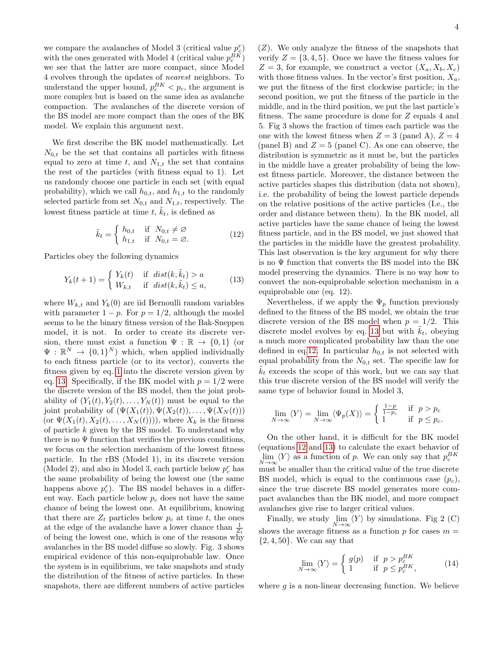we compare the avalanches of Model 3 (critical value  $p_c^r$ ) with the ones generated with Model 4 (critical value  $p_c^{BK}$ ) we see that the latter are more compact, since Model 4 evolves through the updates of nearest neighbors. To understand the upper bound,  $p_c^{BK} < p_c$ , the argument is more complex but is based on the same idea as avalanche compaction. The avalanches of the discrete version of the BS model are more compact than the ones of the BK model. We explain this argument next.

We first describe the BK model mathematically. Let  $N_{0,t}$  be the set that contains all particles with fitness equal to zero at time t, and  $N_{1,t}$  the set that contains the rest of the particles (with fitness equal to 1). Let us randomly choose one particle in each set (with equal probability), which we call  $h_{0,t}$ , and  $h_{1,t}$  to the randomly selected particle from set  $N_{0,t}$  and  $N_{1,t}$ , respectively. The lowest fitness particle at time  $t, \tilde{k}_t$ , is defined as

<span id="page-3-1"></span>
$$
\tilde{k}_t = \begin{cases}\nh_{0,t} & \text{if } N_{0,t} \neq \varnothing \\
h_{1,t} & \text{if } N_{0,t} = \varnothing.\n\end{cases}
$$
\n(12)

Particles obey the following dynamics

<span id="page-3-0"></span>
$$
Y_k(t+1) = \begin{cases} Y_k(t) & \text{if } dist(k, \tilde{k}_t) > a \\ W_{k,t} & \text{if } dist(k, \tilde{k}_t) \le a, \end{cases}
$$
 (13)

where  $W_{k,t}$  and  $Y_k(0)$  are iid Bernoulli random variables with parameter  $1 - p$ . For  $p = 1/2$ , although the model seems to be the binary fitness version of the Bak-Sneppen model, it is not. In order to create its discrete version, there must exist a function  $\Psi : \mathbb{R} \to \{0,1\}$  (or  $\Psi : \mathbb{R}^N \to \{0,1\}^N$  which, when applied individually to each fitness particle (or to its vector), converts the fitness given by eq. [1](#page-0-0) into the discrete version given by eq. [13.](#page-3-0) Specifically, if the BK model with  $p = 1/2$  were the discrete version of the BS model, then the joint probability of  $(Y_1(t), Y_2(t), \ldots, Y_N(t))$  must be equal to the joint probability of  $(\Psi(X_1(t)), \Psi(X_2(t)), \ldots, \Psi(X_N(t)))$ (or  $\Psi(X_1(t), X_2(t), \ldots, X_N(t)))$ ), where  $X_k$  is the fitness of particle  $k$  given by the BS model. To understand why there is no  $\Psi$  function that verifies the previous conditions, we focus on the selection mechanism of the lowest fitness particle. In the rBS (Model 1), in its discrete version (Model 2), and also in Model 3, each particle below  $p_c^r$  has the same probability of being the lowest one (the same happens above  $p_c^r$ ). The BS model behaves in a different way. Each particle below  $p_c$  does not have the same chance of being the lowest one. At equilibrium, knowing that there are  $Z_t$  particles below  $p_c$  at time t, the ones at the edge of the avalanche have a lower chance than  $\frac{1}{Z_t}$ of being the lowest one, which is one of the reasons why avalanches in the BS model diffuse so slowly. Fig. 3 shows empirical evidence of this non-equiprobable law. Once the system is in equilibrium, we take snapshots and study the distribution of the fitness of active particles. In these snapshots, there are different numbers of active particles

 $(Z)$ . We only analyze the fitness of the snapshots that verify  $Z = \{3, 4, 5\}$ . Once we have the fitness values for  $Z = 3$ , for example, we construct a vector  $(X_a, X_b, X_c)$ with those fitness values. In the vector's first position,  $X_a$ , we put the fitness of the first clockwise particle; in the second position, we put the fitness of the particle in the middle, and in the third position, we put the last particle's fitness. The same procedure is done for Z equals 4 and 5. Fig 3 shows the fraction of times each particle was the one with the lowest fitness when  $Z = 3$  (panel A),  $Z = 4$ (panel B) and  $Z = 5$  (panel C). As one can observe, the distribution is symmetric as it must be, but the particles in the middle have a greater probability of being the lowest fitness particle. Moreover, the distance between the active particles shapes this distribution (data not shown), i.e. the probability of being the lowest particle depends on the relative positions of the active particles (I.e., the order and distance between them). In the BK model, all active particles have the same chance of being the lowest fitness particle, and in the BS model, we just showed that the particles in the middle have the greatest probability. This last observation is the key argument for why there is no  $\Psi$  function that converts the BS model into the BK model preserving the dynamics. There is no way how to convert the non-equiprobable selection mechanism in a equiprobable one (eq. 12).

Nevertheless, if we apply the  $\Psi_p$  function previously defined to the fitness of the BS model, we obtain the true discrete version of the BS model when  $p = 1/2$ . This discrete model evolves by eq. [13](#page-3-0) but with  $k_t$ , obeying a much more complicated probability law than the one defined in eq[.12.](#page-3-1) In particular  $h_{0,t}$  is not selected with equal probability from the  $N_{0,t}$  set. The specific law for  $k_t$  exceeds the scope of this work, but we can say that this true discrete version of the BS model will verify the same type of behavior found in Model 3,

$$
\lim_{N \to \infty} \langle Y \rangle = \lim_{N \to \infty} \langle \Psi_p(X) \rangle = \begin{cases} \frac{1-p}{1-p_c} & \text{if } p > p_c \\ 1 & \text{if } p \le p_c. \end{cases}
$$

On the other hand, it is difficult for the BK model (equations [12](#page-3-1) and [13\)](#page-3-0) to calculate the exact behavior of  $\lim_{L \to \infty} \langle Y \rangle$  as a function of p. We can only say that  $p_c^{BK}$  $N \rightarrow \infty$  must be smaller than the critical value of the true discrete BS model, which is equal to the continuous case  $(p_c)$ , since the true discrete BS model generates more compact avalanches than the BK model, and more compact avalanches give rise to larger critical values.

Finally, we study  $\lim_{N \to \infty} \langle Y \rangle$  by simulations. Fig 2 (C) shows the average fitness as a function  $p$  for cases  $m =$  $\{2, 4, 50\}$ . We can say that

$$
\lim_{N \to \infty} \langle Y \rangle = \begin{cases} g(p) & \text{if } p > p_c^{BK} \\ 1 & \text{if } p \le p_c^{BK}, \end{cases}
$$
(14)

where  $q$  is a non-linear decreasing function. We believe